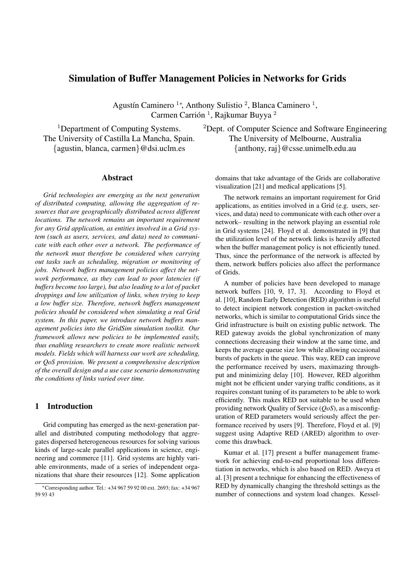# **Simulation of Buffer Management Policies in Networks for Grids**

Agustín Caminero <sup>1</sup><sup>\*</sup>, Anthony Sulistio <sup>2</sup>, Blanca Caminero <sup>1</sup>, Carmen Carrión<sup>1</sup>, Rajkumar Buyya <sup>2</sup>

#### **Abstract**

*Grid technologies are emerging as the next generation of distributed computing, allowing the aggregation of resources that are geographically distributed across different locations. The network remains an important requirement for any Grid application, as entities involved in a Grid system (such as users, services, and data) need to communicate with each other over a network. The performance of the network must therefore be considered when carrying out tasks such as scheduling, migration or monitoring of jobs. Network buffers management policies affect the network performance, as they can lead to poor latencies (if buffers become too large), but also leading to a lot of packet droppings and low utilization of links, when trying to keep a low buffer size. Therefore, network buffers management policies should be considered when simulating a real Grid system. In this paper, we introduce network buffers management policies into the GridSim simulation toolkit. Our framework allows new policies to be implemented easily, thus enabling researchers to create more realistic network models. Fields which will harness our work are scheduling, or QoS provision. We present a comprehensive description of the overall design and a use case scenario demonstrating the conditions of links varied over time.*

# **1 Introduction**

Grid computing has emerged as the next-generation parallel and distributed computing methodology that aggregates dispersed heterogeneous resources for solving various kinds of large-scale parallel applications in science, engineering and commerce [11]. Grid systems are highly variable environments, made of a series of independent organizations that share their resources [12]. Some application

<sup>1</sup>Department of Computing Systems. <sup>2</sup>Dept. of Computer Science and Software Engineering The University of Castilla La Mancha, Spain. The University of Melbourne, Australia {agustin, blanca, carmen}@dsi.uclm.es {anthony, raj}@csse.unimelb.edu.au

> domains that take advantage of the Grids are collaborative visualization [21] and medical applications [5].

> The network remains an important requirement for Grid applications, as entities involved in a Grid (e.g. users, services, and data) need to communicate with each other over a network– resulting in the network playing an essential role in Grid systems [24]. Floyd et al. demonstrated in [9] that the utilization level of the network links is heavily affected when the buffer management policy is not efficiently tuned. Thus, since the performance of the network is affected by them, network buffers policies also affect the performance of Grids.

> A number of policies have been developed to manage network buffers [10, 9, 17, 3]. According to Floyd et al. [10], Random Early Detection (RED) algorithm is useful to detect incipient network congestion in packet-switched networks, which is similar to computational Grids since the Grid infrastructure is built on existing public network. The RED gateway avoids the global synchronization of many connections decreasing their window at the same time, and keeps the average queue size low while allowing occasional bursts of packets in the queue. This way, RED can improve the performance received by users, maximazing throughput and minimizing delay [10]. However, RED algorithm might not be efficient under varying traffic conditions, as it requires constant tuning of its parameters to be able to work efficiently. This makes RED not suitable to be used when providing network Quality of Service (*QoS*), as a misconfiguration of RED parameters would seriously affect the performance received by users [9]. Therefore, Floyd et al. [9] suggest using Adaptive RED (ARED) algorithm to overcome this drawback.

> Kumar et al. [17] present a buffer management framework for achieving end-to-end proportional loss differentiation in networks, which is also based on RED. Aweya et al. [3] present a technique for enhancing the effectiveness of RED by dynamically changing the threshold settings as the number of connections and system load changes. Kessel-

<sup>∗</sup>Corresponding author. Tel.: +34 967 59 92 00 ext. 2693; fax: +34 967 59 93 43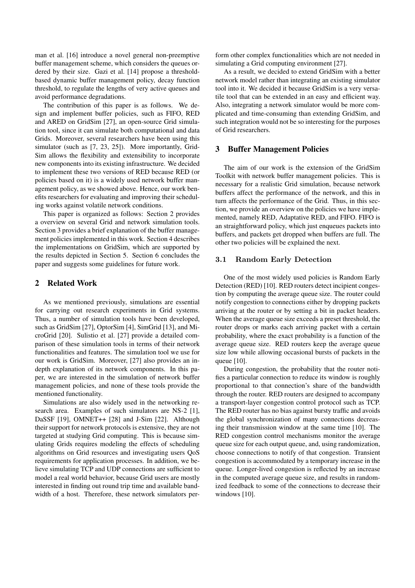man et al. [16] introduce a novel general non-preemptive buffer management scheme, which considers the queues ordered by their size. Gazi et al. [14] propose a thresholdbased dynamic buffer management policy, decay function threshold, to regulate the lengths of very active queues and avoid performance degradations.

The contribution of this paper is as follows. We design and implement buffer policies, such as FIFO, RED and ARED on GridSim [27], an open-source Grid simulation tool, since it can simulate both computational and data Grids. Moreover, several researchers have been using this simulator (such as [7, 23, 25]). More importantly, Grid-Sim allows the flexibility and extensibility to incorporate new components into its existing infrastructure. We decided to implement these two versions of RED because RED (or policies based on it) is a widely used network buffer management policy, as we showed above. Hence, our work benefits researchers for evaluating and improving their scheduling works against volatile network conditions.

This paper is organized as follows: Section 2 provides a overview on several Grid and network simulation tools. Section 3 provides a brief explanation of the buffer management policies implemented in this work. Section 4 describes the implementations on GridSim, which are supported by the results depicted in Section 5. Section 6 concludes the paper and suggests some guidelines for future work.

## **2 Related Work**

As we mentioned previously, simulations are essential for carrying out research experiments in Grid systems. Thus, a number of simulation tools have been developed, such as GridSim [27], OptorSim [4], SimGrid [13], and MicroGrid [20]. Sulistio et al. [27] provide a detailed comparison of these simulation tools in terms of their network functionalities and features. The simulation tool we use for our work is GridSim. Moreover, [27] also provides an indepth explanation of its network components. In this paper, we are interested in the simulation of network buffer management policies, and none of these tools provide the mentioned functionality.

Simulations are also widely used in the networking research area. Examples of such simulators are NS-2 [1], DaSSF [19], OMNET++ [28] and J-Sim [22]. Although their support for network protocols is extensive, they are not targeted at studying Grid computing. This is because simulating Grids requires modeling the effects of scheduling algorithms on Grid resources and investigating users QoS requirements for application processes. In addition, we believe simulating TCP and UDP connections are sufficient to model a real world behavior, because Grid users are mostly interested in finding out round trip time and available bandwidth of a host. Therefore, these network simulators perform other complex functionalities which are not needed in simulating a Grid computing environment [27].

As a result, we decided to extend GridSim with a better network model rather than integrating an existing simulator tool into it. We decided it because GridSim is a very versatile tool that can be extended in an easy and efficient way. Also, integrating a network simulator would be more complicated and time-consuming than extending GridSim, and such integration would not be so interesting for the purposes of Grid researchers.

## **3 Buffer Management Policies**

The aim of our work is the extension of the GridSim Toolkit with network buffer management policies. This is necessary for a realistic Grid simulation, because network buffers affect the performance of the network, and this in turn affects the performance of the Grid. Thus, in this section, we provide an overview on the policies we have implemented, namely RED, Adaptative RED, and FIFO. FIFO is an straightforward policy, which just enqueues packets into buffers, and packets get dropped when buffers are full. The other two policies will be explained the next.

### **3.1 Random Early Detection**

One of the most widely used policies is Random Early Detection (RED) [10]. RED routers detect incipient congestion by computing the average queue size. The router could notify congestion to connections either by dropping packets arriving at the router or by setting a bit in packet headers. When the average queue size exceeds a preset threshold, the router drops or marks each arriving packet with a certain probability, where the exact probability is a function of the average queue size. RED routers keep the average queue size low while allowing occasional bursts of packets in the queue [10].

During congestion, the probability that the router notifies a particular connection to reduce its window is roughly proportional to that connection's share of the bandwidth through the router. RED routers are designed to accompany a transport-layer congestion control protocol such as TCP. The RED router has no bias against bursty traffic and avoids the global synchronization of many connections decreasing their transmission window at the same time [10]. The RED congestion control mechanisms monitor the average queue size for each output queue, and, using randomization, choose connections to notify of that congestion. Transient congestion is accommodated by a temporary increase in the queue. Longer-lived congestion is reflected by an increase in the computed average queue size, and results in randomized feedback to some of the connections to decrease their windows [10].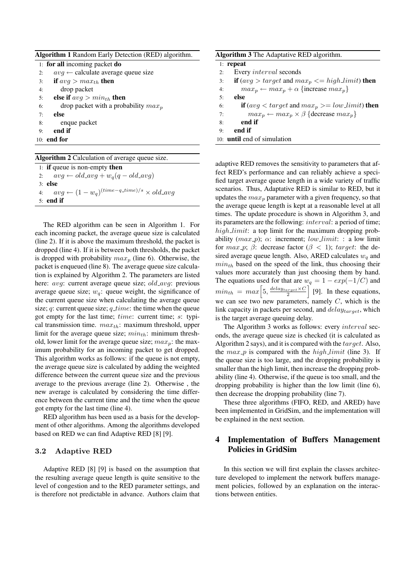| Algorithm 1 Random Early Detection (RED) algorithm. |                                                     |  |  |
|-----------------------------------------------------|-----------------------------------------------------|--|--|
| 1: for all incoming packet do                       |                                                     |  |  |
| 2:                                                  | $\alpha vq \leftarrow$ calculate average queue size |  |  |
| 3:                                                  | if $avg > max_{th}$ then                            |  |  |
| 4:                                                  | drop packet                                         |  |  |
| 5:                                                  | else if $avg > min_{th}$ then                       |  |  |
| 6:                                                  | drop packet with a probability $max_n$              |  |  |
| 7:                                                  | else                                                |  |  |
| 8:                                                  | enque packet                                        |  |  |
| 9:                                                  | end if                                              |  |  |
| 10: end for                                         |                                                     |  |  |
|                                                     |                                                     |  |  |

| Algorithm 2 Calculation of average queue size. |  |
|------------------------------------------------|--|
|------------------------------------------------|--|

| 1: if queue is non-empty then                                       |
|---------------------------------------------------------------------|
| 2: $avg \leftarrow old_{avg} + w_q(q - old_{avg})$                  |
| $3:$ else                                                           |
| 4: $avg \leftarrow (1 - w_q)^{(time - q\_time)/s} \times old_{avq}$ |
| $5:$ end if                                                         |

The RED algorithm can be seen in Algorithm 1. For each incoming packet, the average queue size is calculated (line 2). If it is above the maximum threshold, the packet is dropped (line 4). If it is between both thresholds, the packet is dropped with probability  $max_p$  (line 6). Otherwise, the packet is enqueued (line 8). The average queue size calculation is explained by Algorithm 2. The parameters are listed here: avg: current average queue size; old\_avg: previous average queue size;  $w_a$ : queue weight, the significance of the current queue size when calculating the average queue size;  $q$ : current queue size;  $q_time$ : the time when the queue got empty for the last time; time: current time; s: typical transmission time. max*th*: maximum threshold, upper limit for the average queue size; min*th*: minimum threshold, lower limit for the average queue size;  $max_p$ : the maximum probability for an incoming packet to get dropped. This algorithm works as follows: if the queue is not empty, the average queue size is calculated by adding the weighted difference between the current queue size and the previous average to the previous average (line 2). Otherwise , the new average is calculated by considering the time difference between the current time and the time when the queue got empty for the last time (line 4).

RED algorithm has been used as a basis for the development of other algorithms. Among the algorithms developed based on RED we can find Adaptive RED [8] [9].

### **3.2 Adaptive RED**

Adaptive RED [8] [9] is based on the assumption that the resulting average queue length is quite sensitive to the level of congestion and to the RED parameter settings, and is therefore not predictable in advance. Authors claim that

| Algorithm 3 The Adaptative RED algorithm. |                                                                       |  |  |
|-------------------------------------------|-----------------------------------------------------------------------|--|--|
| $1:$ repeat                               |                                                                       |  |  |
| 2:                                        | Every <i>interval</i> seconds                                         |  |  |
| 3:                                        | <b>if</b> $(avg > target \text{ and } max_p \leq = high\_limit)$ then |  |  |
| 4:                                        | $max_p \leftarrow max_p + \alpha$ {increase $max_p$ }                 |  |  |
| 5:                                        | else                                                                  |  |  |
| 6:                                        | <b>if</b> $(avg < target$ and $max_p >= low-limit)$ then              |  |  |
| 7:                                        | $max_p \leftarrow max_p \times \beta$ {decrease $max_p$ }             |  |  |
| 8:                                        | end if                                                                |  |  |
| 9:                                        | end if                                                                |  |  |
| 10: <b>until</b> end of simulation        |                                                                       |  |  |
|                                           |                                                                       |  |  |

adaptive RED removes the sensitivity to parameters that affect RED's performance and can reliably achieve a specified target average queue length in a wide variety of traffic scenarios. Thus, Adaptative RED is similar to RED, but it updates the max*<sup>p</sup>* parameter with a given frequency, so that the average queue length is kept at a reasonable level at all times. The update procedure is shown in Algorithm 3, and its parameters are the following: interval: a period of time;  $high\_limit$ : a top limit for the maximum dropping probability  $(max-p)$ ;  $\alpha$ : increment;  $low-limit$ : : a low limit for max p;  $\beta$ : decrease factor ( $\beta$  < 1); target: the desired average queue length. Also, ARED calculates  $w_q$  and  $min_{th}$  based on the speed of the link, thus choosing their values more accurately than just choosing them by hand. The equations used for that are  $w_q = 1 - exp(-1/C)$  and  $min_{th} = max \left[ 5, \frac{delay_{target} \times C}{2} \right]$  [9]. In these equations, we can see two new parameters, namely  $C$ , which is the link capacity in packets per second, and delay*target*, which is the target average queuing delay.

The Algorithm 3 works as follows: every *interval* seconds, the average queue size is checked (it is calculated as Algorithm 2 says), and it is compared with the target. Also, the  $max_p$  is compared with the  $high\_limit$  (line 3). If the queue size is too large, and the dropping probability is smaller than the high limit, then increase the dropping probability (line 4). Otherwise, if the queue is too small, and the dropping probability is higher than the low limit (line 6), then decrease the dropping probability (line 7).

These three algorithms (FIFO, RED, and ARED) have been implemented in GridSim, and the implementation will be explained in the next section.

# **4 Implementation of Buffers Management Policies in GridSim**

In this section we will first explain the classes architecture developed to implement the network buffers management policies, followed by an explanation on the interactions between entities.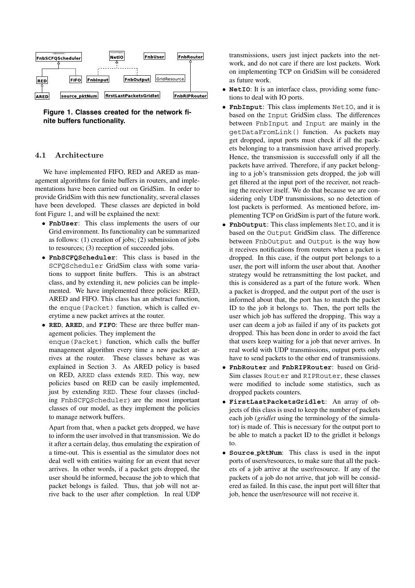

**Figure 1. Classes created for the network finite buffers functionality.**

## **4.1 Architecture**

We have implemented FIFO, RED and ARED as management algorithms for finite buffers in routers, and implementations have been carried out on GridSim. In order to provide GridSim with this new functionality, several classes have been developed. These classes are depicted in bold font Figure 1, and will be explained the next:

- **FnbUser**: This class implements the users of our Grid environment. Its functionality can be summarized as follows: (1) creation of jobs; (2) submission of jobs to resources; (3) reception of succeeded jobs.
- **FnbSCFQScheduler**: This class is based in the SCFQScheduler GridSim class with some variations to support finite buffers. This is an abstract class, and by extending it, new policies can be implemented. We have implemented three policies: RED, ARED and FIFO. This class has an abstract function, the enque(Packet) function, which is called everytime a new packet arrives at the router.
- **RED**, **ARED**, and **FIFO**: These are three buffer management policies. They implement the enque(Packet) function, which calls the buffer management algorithm every time a new packet arrives at the router. These classes behave as was explained in Section 3. As ARED policy is based on RED, ARED class extends RED. This way, new policies based on RED can be easily implemented, just by extending RED. These four classes (including FnbSCFQScheduler) are the most important classes of our model, as they implement the policies to manage network buffers.

Apart from that, when a packet gets dropped, we have to inform the user involved in that transmission. We do it after a certain delay, thus emulating the expiration of a time-out. This is essential as the simulator does not deal well with entities waiting for an event that never arrives. In other words, if a packet gets dropped, the user should be informed, because the job to which that packet belongs is failed. Thus, that job will not arrive back to the user after completion. In real UDP

transmissions, users just inject packets into the network, and do not care if there are lost packets. Work on implementing TCP on GridSim will be considered as future work.

- **NetIO**: It is an interface class, providing some functions to deal with IO ports.
- **FnbInput**: This class implements NetIO, and it is based on the Input GridSim class. The differences between FnbInput and Input are mainly in the getDataFromLink() function. As packets may get dropped, input ports must check if all the packets belonging to a transmission have arrived properly. Hence, the transmission is successfull only if all the packets have arrived. Therefore, if any packet belonging to a job's transmission gets dropped, the job will get filtered at the input port of the receiver, not reaching the receiver itself. We do that because we are considering only UDP transmissions, so no detection of lost packets is performed. As mentioned before, implementing TCP on GridSim is part of the future work.
- **FnbOutput**: This class implements NetIO, and it is based on the Output GridSim class. The difference between FnbOutput and Output is the way how it receives notifications from routers when a packet is dropped. In this case, if the output port belongs to a user, the port will inform the user about that. Another strategy would be retransmitting the lost packet, and this is considered as a part of the future work. When a packet is dropped, and the output port of the user is informed about that, the port has to match the packet ID to the job it belongs to. Then, the port tells the user which job has suffered the dropping. This way a user can deem a job as failed if any of its packets got dropped. This has been done in order to avoid the fact that users keep waiting for a job that never arrives. In real world with UDP transmissions, output ports only have to send packets to the other end of transmissions.
- **FnbRouter** and **FnbRIPRouter**: based on Grid-Sim classes Router and RIPRouter, these classes were modified to include some statistics, such as dropped packets counters.
- **FirstLastPacketsGridlet**: An array of objects of this class is used to keep the number of packets each job (*gridlet* using the terminology of the simulator) is made of. This is necessary for the output port to be able to match a packet ID to the gridlet it belongs to.
- **Source pktNum**: This class is used in the input ports of users/resources, to make sure that all the packets of a job arrive at the user/resource. If any of the packets of a job do not arrive, that job will be considered as failed. In this case, the input port will filter that job, hence the user/resource will not receive it.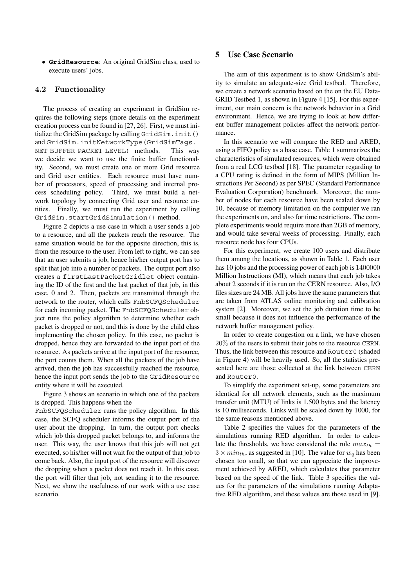• **GridResource**: An original GridSim class, used to execute users' jobs.

### **4.2 Functionality**

The process of creating an experiment in GridSim requires the following steps (more details on the experiment creation process can be found in [27, 26]. First, we must initialize the GridSim package by calling GridSim.init() and GridSim.initNetworkType(GridSimTags. NET BUFFER PACKET LEVEL) methods. This way we decide we want to use the finite buffer functionality. Second, we must create one or more Grid resource and Grid user entities. Each resource must have number of processors, speed of processing and internal process scheduling policy. Third, we must build a network topology by connecting Grid user and resource entities. Finally, we must run the experiment by calling GridSim.startGridSimulation() method.

Figure 2 depicts a use case in which a user sends a job to a resource, and all the packets reach the resource. The same situation would be for the opposite direction, this is, from the resource to the user. From left to right, we can see that an user submits a job, hence his/her output port has to split that job into a number of packets. The output port also creates a firstLastPacketGridlet object containing the ID of the first and the last packet of that job, in this case, 0 and 2. Then, packets are transmitted through the network to the router, which calls FnbSCFQScheduler for each incoming packet. The FnbSCFQScheduler object runs the policy algorithm to determine whether each packet is dropped or not, and this is done by the child class implementing the chosen policy. In this case, no packet is dropped, hence they are forwarded to the input port of the resource. As packets arrive at the input port of the resource, the port counts them. When all the packets of the job have arrived, then the job has successfully reached the resource, hence the input port sends the job to the GridResource entity where it will be executed.

Figure 3 shows an scenario in which one of the packets is dropped. This happens when the

FnbSCFQScheduler runs the policy algorithm. In this case, the SCFQ scheduler informs the output port of the user about the dropping. In turn, the output port checks which job this dropped packet belongs to, and informs the user. This way, the user knows that this job will not get executed, so his/her will not wait for the output of that job to come back. Also, the input port of the resource will discover the dropping when a packet does not reach it. In this case, the port will filter that job, not sending it to the resource. Next, we show the usefulness of our work with a use case scenario.

## **5 Use Case Scenario**

The aim of this experiment is to show GridSim's ability to simulate an adequate-size Grid testbed. Therefore, we create a network scenario based on the on the EU Data-GRID Testbed 1, as shown in Figure 4 [15]. For this experiment, our main concern is the network behavior in a Grid environment. Hence, we are trying to look at how different buffer management policies affect the network performance.

In this scenario we will compare the RED and ARED, using a FIFO policy as a base case. Table 1 summarizes the characteristics of simulated resources, which were obtained from a real LCG testbed [18]. The parameter regarding to a CPU rating is defined in the form of MIPS (Million Instructions Per Second) as per SPEC (Standard Performance Evaluation Corporation) benchmark. Moreover, the number of nodes for each resource have been scaled down by 10, because of memory limitation on the computer we ran the experiments on, and also for time restrictions. The complete experiments would require more than 2GB of memory, and would take several weeks of processing. Finally, each resource node has four CPUs.

For this experiment, we create 100 users and distribute them among the locations, as shown in Table 1. Each user has 10 jobs and the processing power of each job is 1400000 Million Instructions (MI), which means that each job takes about 2 seconds if it is run on the CERN resource. Also, I/O files sizes are 24 MB. All jobs have the same parameters that are taken from ATLAS online monitoring and calibration system [2]. Moreover, we set the job duration time to be small because it does not influence the performance of the network buffer management policy.

In order to create congestion on a link, we have chosen 20% of the users to submit their jobs to the resource CERN. Thus, the link between this resource and Router0 (shaded in Figure 4) will be heavily used. So, all the statistics presented here are those collected at the link between CERN and Router0.

To simplify the experiment set-up, some parameters are identical for all network elements, such as the maximum transfer unit (MTU) of links is 1,500 bytes and the latency is 10 milliseconds. Links will be scaled down by 1000, for the same reasons mentioned above.

Table 2 specifies the values for the parameters of the simulations running RED algorithm. In order to calculate the thresholds, we have considered the rule  $max<sub>th</sub>$  =  $3 \times min_{th}$ , as suggested in [10]. The value for  $w_q$  has been chosen too small, so that we can appreciate the improvement achieved by ARED, which calculates that parameter based on the speed of the link. Table 3 specifies the values for the parameters of the simulations running Adaptative RED algorithm, and these values are those used in [9].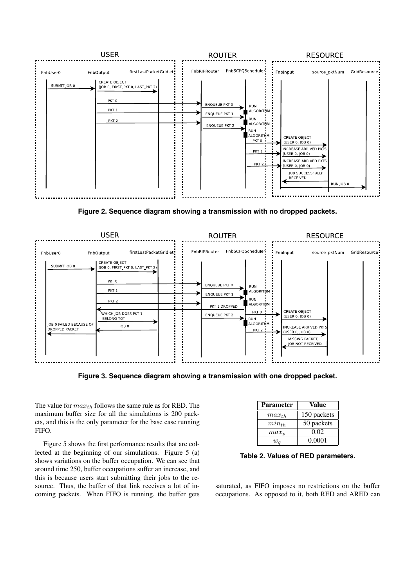

**Figure 2. Sequence diagram showing a transmission with no dropped packets.**



**Figure 3. Sequence diagram showing a transmission with one dropped packet.**

The value for max*th* follows the same rule as for RED. The maximum buffer size for all the simulations is 200 packets, and this is the only parameter for the base case running FIFO.

Figure 5 shows the first performance results that are collected at the beginning of our simulations. Figure 5 (a) shows variations on the buffer occupation. We can see that around time 250, buffer occupations suffer an increase, and this is because users start submitting their jobs to the resource. Thus, the buffer of that link receives a lot of incoming packets. When FIFO is running, the buffer gets

| Parameter    | Value       |
|--------------|-------------|
| $max_{th}$   | 150 packets |
| $min_{th}$   | 50 packets  |
| $max_{p}$    | 0.02        |
| $w_{\alpha}$ | 0.0001      |

**Table 2. Values of RED parameters.**

saturated, as FIFO imposes no restrictions on the buffer occupations. As opposed to it, both RED and ARED can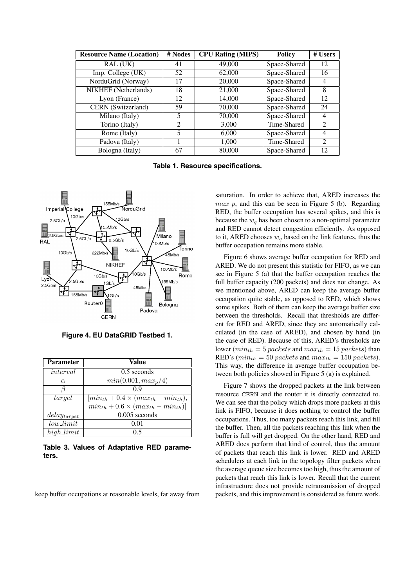| <b>Resource Name (Location)</b> | # Nodes        | <b>CPU Rating (MIPS)</b> | <b>Policy</b> | # Users        |
|---------------------------------|----------------|--------------------------|---------------|----------------|
| RAL (UK)                        | 41             | 49,000                   | Space-Shared  | 12             |
| Imp. College (UK)               | 52             | 62,000                   | Space-Shared  | 16             |
| NorduGrid (Norway)              | 17             | 20,000                   | Space-Shared  | 4              |
| NIKHEF (Netherlands)            | 18             | 21,000                   | Space-Shared  | 8              |
| Lyon (France)                   | 12             | 14,000                   | Space-Shared  | 12             |
| CERN (Switzerland)              | 59             | 70,000                   | Space-Shared  | 24             |
| Milano (Italy)                  | 5              | 70,000                   | Space-Shared  | 4              |
| Torino (Italy)                  | $\mathfrak{D}$ | 3,000                    | Time-Shared   | 2              |
| Rome (Italy)                    | 5              | 6,000                    | Space-Shared  | $\overline{4}$ |
| Padova (Italy)                  |                | 1,000                    | Time-Shared   | 2              |
| Bologna (Italy)                 | 67             | 80,000                   | Space-Shared  | 12             |

**Table 1. Resource specifications.**



**Figure 4. EU DataGRID Testbed 1.**

| <b>Parameter</b>        | Value                                                         |
|-------------------------|---------------------------------------------------------------|
| interval                | $0.5$ seconds                                                 |
| $\alpha$                | $min(0.001, max_p/4)$                                         |
|                         | 09                                                            |
| target                  | $\left[ min_{th} + 0.4 \times (max_{th} - min_{th}), \right]$ |
|                         | $min_{th} + 0.6 \times (max_{th} - min_{th})$                 |
| $delay_{target}$        | $0.005$ seconds                                               |
| $low$ <sub>-limit</sub> | 0.01                                                          |
| $high\_limit$           |                                                               |

**Table 3. Values of Adaptative RED parameters.**

keep buffer occupations at reasonable levels, far away from

saturation. In order to achieve that, ARED increases the  $max_{p}$ , and this can be seen in Figure 5 (b). Regarding RED, the buffer occupation has several spikes, and this is because the  $w_q$  has been chosen to a non-optimal parameter and RED cannot detect congestion efficiently. As opposed to it, ARED chooses  $w_q$  based on the link features, thus the buffer occupation remains more stable.

Figure 6 shows average buffer occupation for RED and ARED. We do not present this statistic for FIFO, as we can see in Figure 5 (a) that the buffer occupation reaches the full buffer capacity (200 packets) and does not change. As we mentioned above, ARED can keep the average buffer occupation quite stable, as opposed to RED, which shows some spikes. Both of them can keep the average buffer size between the thresholds. Recall that thresholds are different for RED and ARED, since they are automatically calculated (in the case of ARED), and chosen by hand (in the case of RED). Because of this, ARED's thresholds are lower  $(min_{th} = 5 packets$  and  $max_{th} = 15 packets)$  than RED's  $(min_{th} = 50 \ packets$  and  $max_{th} = 150 \ packets$ . This way, the difference in average buffer occupation between both policies showed in Figure 5 (a) is explained.

Figure 7 shows the dropped packets at the link between resource CERN and the router it is directly connected to. We can see that the policy which drops more packets at this link is FIFO, because it does nothing to control the buffer occupations. Thus, too many packets reach this link, and fill the buffer. Then, all the packets reaching this link when the buffer is full will get dropped. On the other hand, RED and ARED does perform that kind of control, thus the amount of packets that reach this link is lower. RED and ARED schedulers at each link in the topology filter packets when the average queue size becomes too high, thus the amount of packets that reach this link is lower. Recall that the current infrastructure does not provide retransmission of dropped packets, and this improvement is considered as future work.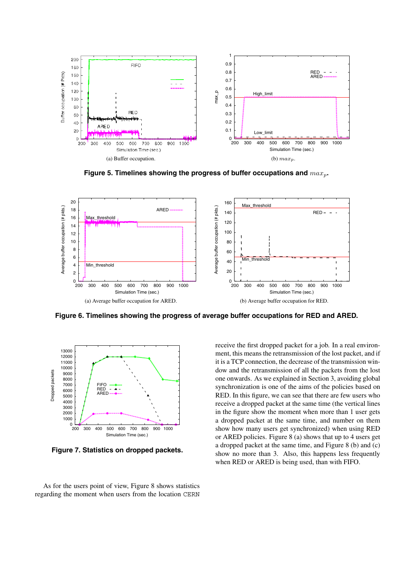

**Figure 5. Timelines showing the progress of buffer occupations and** max*p***.**



**Figure 6. Timelines showing the progress of average buffer occupations for RED and ARED.**



**Figure 7. Statistics on dropped packets.**

As for the users point of view, Figure 8 shows statistics regarding the moment when users from the location CERN receive the first dropped packet for a job. In a real environment, this means the retransmission of the lost packet, and if it is a TCP connection, the decrease of the transmission window and the retransmission of all the packets from the lost one onwards. As we explained in Section 3, avoiding global synchronization is one of the aims of the policies based on RED. In this figure, we can see that there are few users who receive a dropped packet at the same time (the vertical lines in the figure show the moment when more than 1 user gets a dropped packet at the same time, and number on them show how many users get synchronized) when using RED or ARED policies. Figure 8 (a) shows that up to 4 users get a dropped packet at the same time, and Figure 8 (b) and (c) show no more than 3. Also, this happens less frequently when RED or ARED is being used, than with FIFO.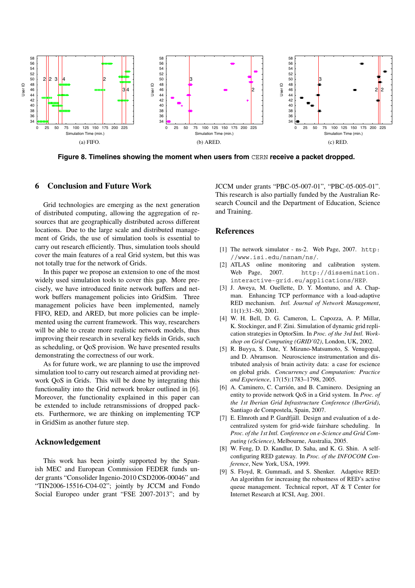

**Figure 8. Timelines showing the moment when users from** CERN **receive a packet dropped.**

### **6 Conclusion and Future Work**

Grid technologies are emerging as the next generation of distributed computing, allowing the aggregation of resources that are geographically distributed across different locations. Due to the large scale and distributed management of Grids, the use of simulation tools is essential to carry out research efficiently. Thus, simulation tools should cover the main features of a real Grid system, but this was not totally true for the network of Grids.

In this paper we propose an extension to one of the most widely used simulation tools to cover this gap. More precisely, we have introduced finite network buffers and network buffers management policies into GridSim. Three management policies have been implemented, namely FIFO, RED, and ARED, but more policies can be implemented using the current framework. This way, researchers will be able to create more realistic network models, thus improving their research in several key fields in Grids, such as scheduling, or QoS provision. We have presented results demonstrating the correctness of our work.

As for future work, we are planning to use the improved simulation tool to carry out research aimed at providing network QoS in Grids. This will be done by integrating this functionality into the Grid network broker outlined in [6]. Moreover, the functionality explained in this paper can be extended to include retransmissions of dropped packets. Furthermore, we are thinking on implementing TCP in GridSim as another future step.

### **Acknowledgement**

This work has been jointly supported by the Spanish MEC and European Commission FEDER funds under grants "Consolider Ingenio-2010 CSD2006-00046" and "TIN2006-15516-C04-02"; jointly by JCCM and Fondo Social Europeo under grant "FSE 2007-2013"; and by JCCM under grants "PBC-05-007-01", "PBC-05-005-01". This research is also partially funded by the Australian Research Council and the Department of Education, Science and Training.

### **References**

- [1] The network simulator ns-2. Web Page, 2007. http: //www.isi.edu/nsnam/ns/.
- [2] ATLAS online monitoring and calibration system. Web Page, 2007. http://dissemination. interactive-grid.eu/applications/HEP.
- [3] J. Aweya, M. Ouellette, D. Y. Montuno, and A. Chapman. Enhancing TCP performance with a load-adaptive RED mechanism. *Intl. Journal of Network Management*, 11(1):31–50, 2001.
- [4] W. H. Bell, D. G. Cameron, L. Capozza, A. P. Millar, K. Stockinger, and F. Zini. Simulation of dynamic grid replication strategies in OptorSim. In *Proc. of the 3rd Intl. Workshop on Grid Computing (GRID'02)*, London, UK, 2002.
- [5] R. Buyya, S. Date, Y. Mizuno-Matsumoto, S. Venugopal, and D. Abramson. Neuroscience instrumentation and distributed analysis of brain activity data: a case for escience on global grids. *Concurrency and Computation: Practice and Experience*, 17(15):1783–1798, 2005.
- [6] A. Caminero, C. Carrión, and B. Caminero. Designing an entity to provide network QoS in a Grid system. In *Proc. of the 1st Iberian Grid Infrastructure Conference (IberGrid)*, Santiago de Compostela, Spain, 2007.
- [7] E. Elmroth and P. Gardfjäll. Design and evaluation of a decentralized system for grid-wide fairshare scheduling. In *Proc. of the 1st Intl. Conference on e-Science and Grid Computing (eScience)*, Melbourne, Australia, 2005.
- [8] W. Feng, D. D. Kandlur, D. Saha, and K. G. Shin. A selfconfiguring RED gateway. In *Proc. of the INFOCOM Conference*, New York, USA, 1999.
- [9] S. Floyd, R. Gummadi, and S. Shenker. Adaptive RED: An algorithm for increasing the robustness of RED's active queue management. Technical report, AT & T Center for Internet Research at ICSI, Aug. 2001.